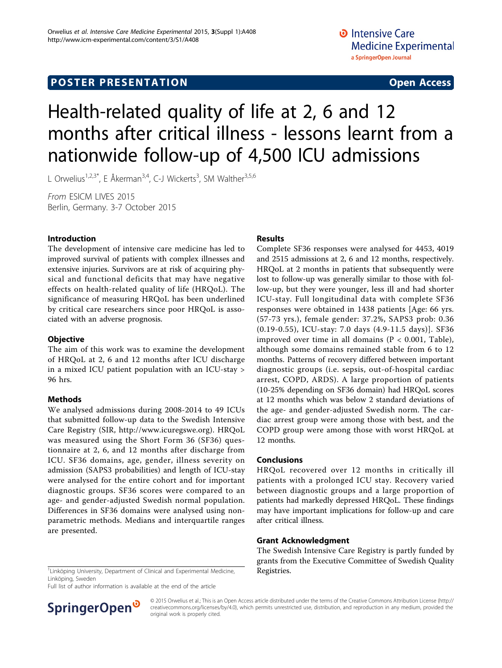# Health-related quality of life at 2, 6 and 12 months after critical illness - lessons learnt from a nationwide follow-up of 4,500 ICU admissions

L Orwelius<sup>1,2,3\*</sup>, E Åkerman<sup>3,4</sup>, C-J Wickerts<sup>3</sup>, SM Walther<sup>3,5,6</sup>

From ESICM LIVES 2015 Berlin, Germany. 3-7 October 2015

# Introduction

The development of intensive care medicine has led to improved survival of patients with complex illnesses and extensive injuries. Survivors are at risk of acquiring physical and functional deficits that may have negative effects on health-related quality of life (HRQoL). The significance of measuring HRQoL has been underlined by critical care researchers since poor HRQoL is associated with an adverse prognosis.

### **Objective**

The aim of this work was to examine the development of HRQoL at 2, 6 and 12 months after ICU discharge in a mixed ICU patient population with an ICU-stay > 96 hrs.

### Methods

We analysed admissions during 2008-2014 to 49 ICUs that submitted follow-up data to the Swedish Intensive Care Registry (SIR, [http://www.icuregswe.org\)](http://www.icuregswe.org). HRQoL was measured using the Short Form 36 (SF36) questionnaire at 2, 6, and 12 months after discharge from ICU. SF36 domains, age, gender, illness severity on admission (SAPS3 probabilities) and length of ICU-stay were analysed for the entire cohort and for important diagnostic groups. SF36 scores were compared to an age- and gender-adjusted Swedish normal population. Differences in SF36 domains were analysed using nonparametric methods. Medians and interquartile ranges are presented.

# Results

Complete SF36 responses were analysed for 4453, 4019 and 2515 admissions at 2, 6 and 12 months, respectively. HRQoL at 2 months in patients that subsequently were lost to follow-up was generally similar to those with follow-up, but they were younger, less ill and had shorter ICU-stay. Full longitudinal data with complete SF36 responses were obtained in 1438 patients [Age: 66 yrs. (57-73 yrs.), female gender: 37.2%, SAPS3 prob: 0.36 (0.19-0.55), ICU-stay: 7.0 days (4.9-11.5 days)]. SF36 improved over time in all domains ( $P < 0.001$ , Table), although some domains remained stable from 6 to 12 months. Patterns of recovery differed between important diagnostic groups (i.e. sepsis, out-of-hospital cardiac arrest, COPD, ARDS). A large proportion of patients (10-25% depending on SF36 domain) had HRQoL scores at 12 months which was below 2 standard deviations of the age- and gender-adjusted Swedish norm. The cardiac arrest group were among those with best, and the COPD group were among those with worst HRQoL at 12 months.

### Conclusions

HRQoL recovered over 12 months in critically ill patients with a prolonged ICU stay. Recovery varied between diagnostic groups and a large proportion of patients had markedly depressed HRQoL. These findings may have important implications for follow-up and care after critical illness.

### Grant Acknowledgment

The Swedish Intensive Care Registry is partly funded by grants from the Executive Committee of Swedish Quality

<sup>1</sup> Linköping University, Department of Clinical and Experimental Medicine,  $\overline{\phantom{a}}$  **Registries.** Linköping, Sweden

Full list of author information is available at the end of the article



© 2015 Orwelius et al.; This is an Open Access article distributed under the terms of the Creative Commons Attribution License [\(http://](http://creativecommons.org/licenses/by/4.0) [creativecommons.org/licenses/by/4.0](http://creativecommons.org/licenses/by/4.0)), which permits unrestricted use, distribution, and reproduction in any medium, provided the original work is properly cited.